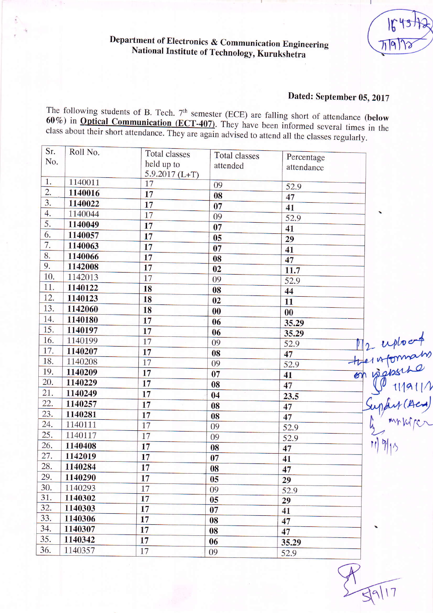## Department of Electronics & Communication Engineering National Institute of Technology, Kurukshetra

## Dated: September 05, 2017

The following students of B. Tech.  $7<sup>th</sup>$  semester (ECE) are falling short of attendance (below  $60\%$ ) in **Optical Communication** (ECT-407). They have been informed several times in the class about their short attendance. They are again advised to attend all the classes regularly.

| Sr.<br>No. | Roll No. | Total classes<br>held up to<br>$5.9.2017$ (L+T) | <b>Total classes</b><br>attended | Percentage<br>attendance |                                                                                        |
|------------|----------|-------------------------------------------------|----------------------------------|--------------------------|----------------------------------------------------------------------------------------|
| 1.         | 1140011  | 17                                              | 09                               | 52.9                     |                                                                                        |
| 2.         | 1140016  | 17                                              | 08                               | 47                       |                                                                                        |
| 3.         | 1140022  | 17                                              | 07                               | 41                       |                                                                                        |
| 4.         | 1140044  | 17                                              | 09                               | 52.9                     |                                                                                        |
| 5.         | 1140049  | 17                                              | 07                               | 41                       |                                                                                        |
| 6.         | 1140057  | 17                                              | 05                               | 29                       |                                                                                        |
| 7.         | 1140063  | 17                                              | 07                               | 41                       |                                                                                        |
| 8.         | 1140066  | 17                                              | 08                               | 47                       |                                                                                        |
| 9.         | 1142008  | 17                                              | 02                               | 11.7                     |                                                                                        |
| 10.        | 1142013  | 17                                              | 09                               | 52.9                     |                                                                                        |
| 11.        | 1140122  | 18                                              | 08                               | 44                       |                                                                                        |
| 12.        | 1140123  | 18                                              | 02                               | 11                       |                                                                                        |
| 13.        | 1142060  | 18                                              | $\bf{00}$                        | 00                       |                                                                                        |
| 14.        | 1140180  | 17                                              | 06                               | 35.29                    |                                                                                        |
| 15.        | 1140197  | 17                                              | 06                               | 35.29                    |                                                                                        |
| 16.        | 1140199  | 17                                              | 09                               | 52.9                     |                                                                                        |
| 17.        | 1140207  | 17                                              | 08                               | 47                       |                                                                                        |
| 18.        | 1140208  | 17                                              | 09                               | 52.9                     |                                                                                        |
| 19.        | 1140209  | 17                                              | 07                               | 41                       |                                                                                        |
| 20.        | 1140229  | 17                                              | 08                               | 47                       | M2-uploont<br>Heritonnaho<br>Consideration<br>Cuptur (Aca)<br>Luptur (Aca)<br>Minister |
| 21.        | 1140249  | 17                                              | 04                               | 23.5                     |                                                                                        |
| 22.        | 1140257  | 17                                              | 08                               | 47                       |                                                                                        |
| 23.        | 1140281  | 17                                              | 08                               | 47                       |                                                                                        |
| 24.        | 1140111  | 17                                              | 09                               | 52.9                     |                                                                                        |
| 25.        | 1140117  | 17                                              | 09                               | 52.9                     |                                                                                        |
| 26.        | 1140408  | 17                                              | 08                               | 47                       |                                                                                        |
| 27.        | 1142019  | 17                                              | 07                               | 41                       |                                                                                        |
| 28.        | 1140284  | 17                                              | 08                               | 47                       |                                                                                        |
| 29.        | 1140290  | 17                                              | 05                               | 29                       |                                                                                        |
| 30.        | 1140293  | 17                                              | 09                               | 52.9                     |                                                                                        |
| 31.        | 1140302  | 17                                              | 05                               | 29                       |                                                                                        |
| 32.        | 1140303  | 17                                              | 07                               | 41                       |                                                                                        |
| 33.        | 1140306  | 17                                              | 08                               | 47                       |                                                                                        |
| 34.        | 1140307  | 17                                              | 08                               | 47                       |                                                                                        |
| 35.        | 1140342  | 17                                              | 06                               | 35.29                    |                                                                                        |
| 36.        | 1140357  | 17                                              | 09                               | 52.9                     |                                                                                        |
|            |          |                                                 |                                  |                          |                                                                                        |

 $\frac{1}{7}$